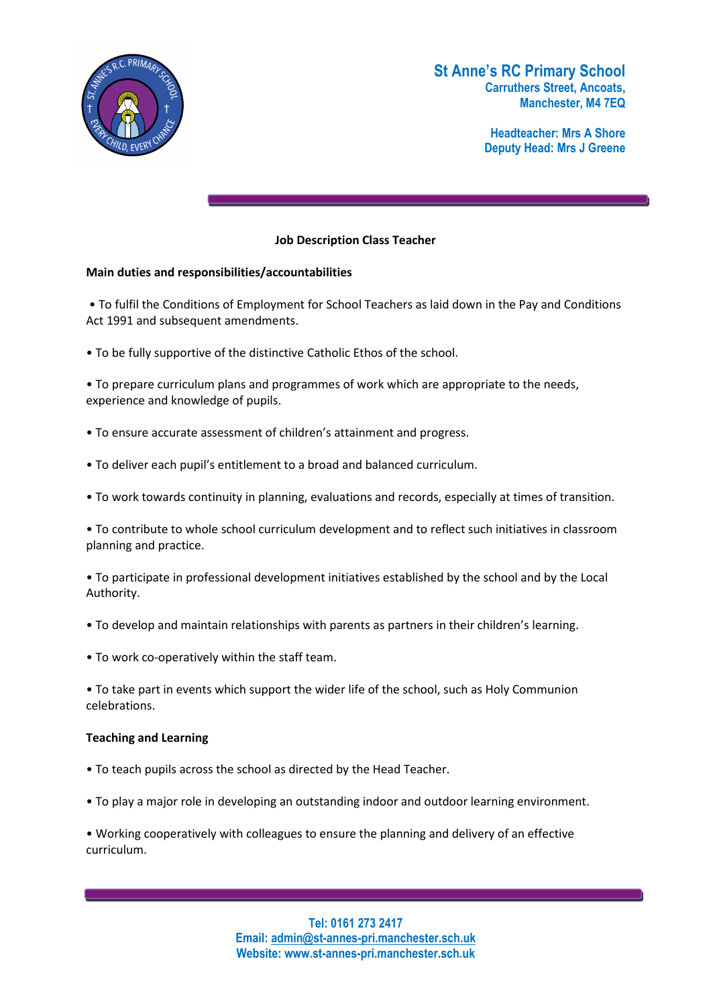

# St Anne's RC Primary School Carruthers Street, Ancoats, Manchester, M4 7EQ

Headteacher: Mrs A Shore Deputy Head: Mrs J Greene

## Job Description Class Teacher

#### Main duties and responsibilities/accountabilities

 • To fulfil the Conditions of Employment for School Teachers as laid down in the Pay and Conditions Act 1991 and subsequent amendments.

• To be fully supportive of the distinctive Catholic Ethos of the school.

• To prepare curriculum plans and programmes of work which are appropriate to the needs, experience and knowledge of pupils.

- To ensure accurate assessment of children's attainment and progress.
- To deliver each pupil's entitlement to a broad and balanced curriculum.
- To work towards continuity in planning, evaluations and records, especially at times of transition.

• To contribute to whole school curriculum development and to reflect such initiatives in classroom planning and practice.

• To participate in professional development initiatives established by the school and by the Local Authority.

- To develop and maintain relationships with parents as partners in their children's learning.
- To work co-operatively within the staff team.

• To take part in events which support the wider life of the school, such as Holy Communion celebrations.

#### Teaching and Learning

- To teach pupils across the school as directed by the Head Teacher.
- To play a major role in developing an outstanding indoor and outdoor learning environment.

• Working cooperatively with colleagues to ensure the planning and delivery of an effective curriculum.

> Tel: 0161 273 2417 Email: admin@st-annes-pri.manchester.sch.uk Website: www.st-annes-pri.manchester.sch.uk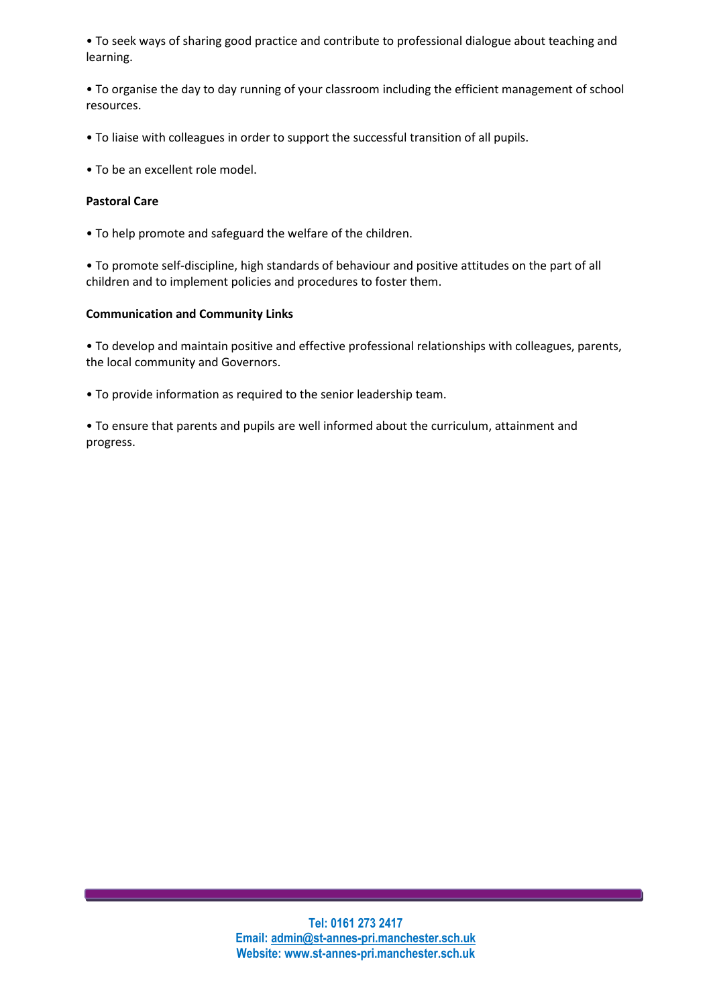• To seek ways of sharing good practice and contribute to professional dialogue about teaching and learning.

• To organise the day to day running of your classroom including the efficient management of school resources.

- To liaise with colleagues in order to support the successful transition of all pupils.
- To be an excellent role model.

#### Pastoral Care

• To help promote and safeguard the welfare of the children.

• To promote self-discipline, high standards of behaviour and positive attitudes on the part of all children and to implement policies and procedures to foster them.

## Communication and Community Links

• To develop and maintain positive and effective professional relationships with colleagues, parents, the local community and Governors.

• To provide information as required to the senior leadership team.

• To ensure that parents and pupils are well informed about the curriculum, attainment and progress.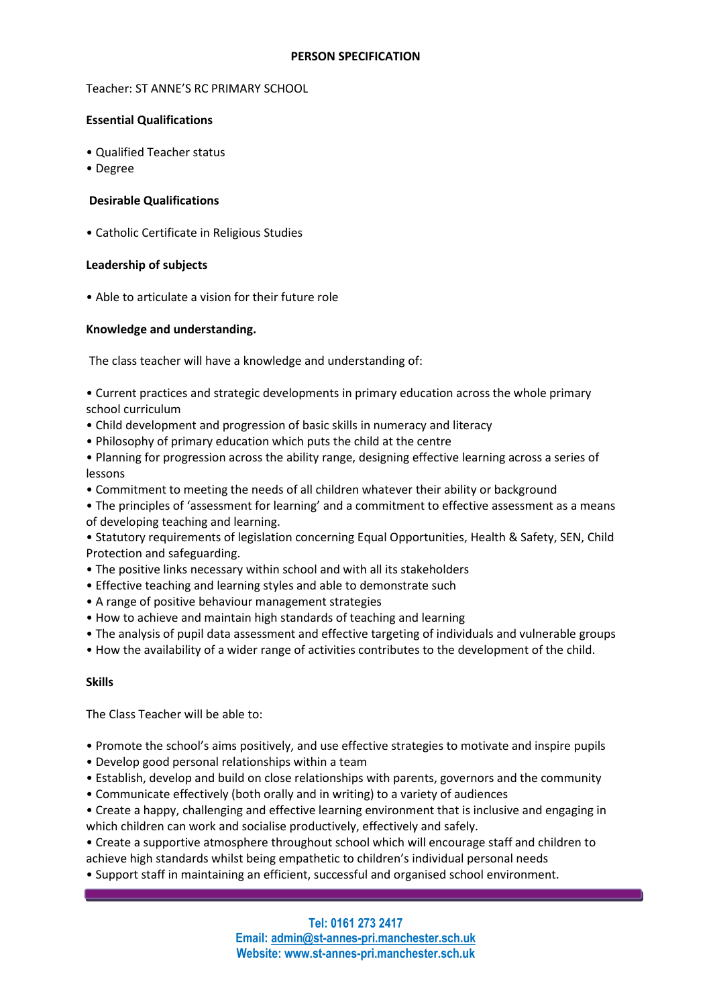Teacher: ST ANNE'S RC PRIMARY SCHOOL

## Essential Qualifications

- Qualified Teacher status
- Degree

## Desirable Qualifications

• Catholic Certificate in Religious Studies

## Leadership of subjects

• Αble to articulate a vision for their future role

## Knowledge and understanding.

The class teacher will have a knowledge and understanding of:

• Current practices and strategic developments in primary education across the whole primary school curriculum

- Child development and progression of basic skills in numeracy and literacy
- Philosophy of primary education which puts the child at the centre

• Planning for progression across the ability range, designing effective learning across a series of lessons

- Commitment to meeting the needs of all children whatever their ability or background
- The principles of 'assessment for learning' and a commitment to effective assessment as a means of developing teaching and learning.

• Statutory requirements of legislation concerning Equal Opportunities, Health & Safety, SEN, Child Protection and safeguarding.

- The positive links necessary within school and with all its stakeholders
- Effective teaching and learning styles and able to demonstrate such
- A range of positive behaviour management strategies
- How to achieve and maintain high standards of teaching and learning
- The analysis of pupil data assessment and effective targeting of individuals and vulnerable groups
- How the availability of a wider range of activities contributes to the development of the child.

#### Skills

The Class Teacher will be able to:

- Promote the school's aims positively, and use effective strategies to motivate and inspire pupils
- Develop good personal relationships within a team
- Establish, develop and build on close relationships with parents, governors and the community
- Communicate effectively (both orally and in writing) to a variety of audiences
- Create a happy, challenging and effective learning environment that is inclusive and engaging in which children can work and socialise productively, effectively and safely.
- Create a supportive atmosphere throughout school which will encourage staff and children to achieve high standards whilst being empathetic to children's individual personal needs

• Support staff in maintaining an efficient, successful and organised school environment.

Tel: 0161 273 2417